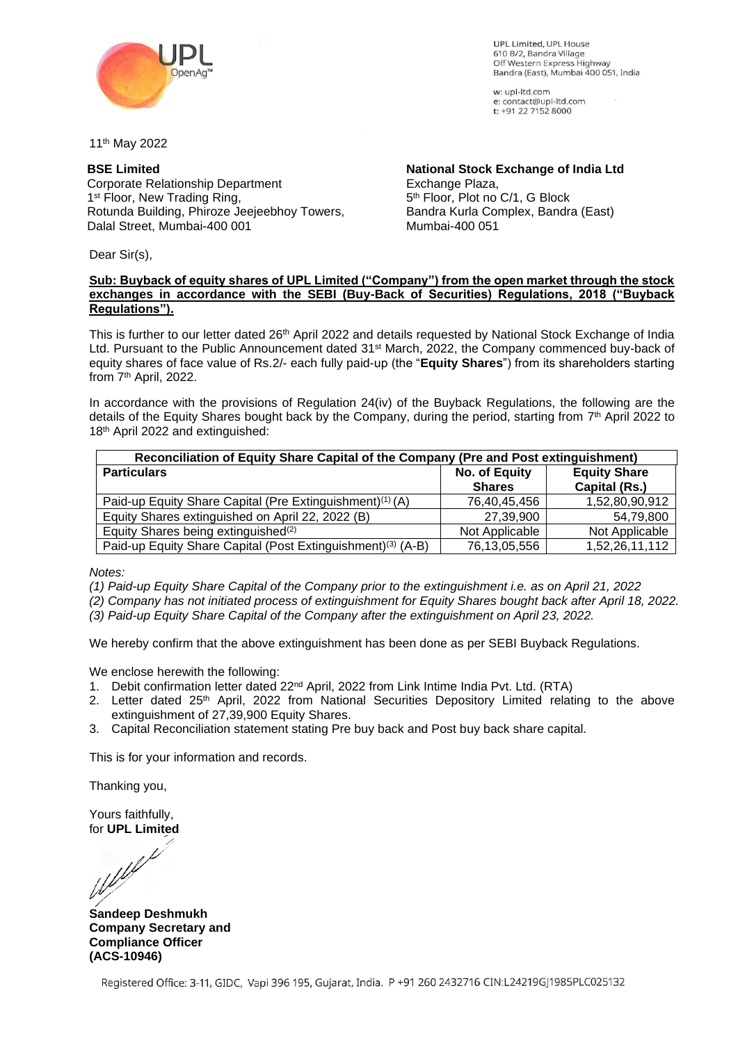

UPL Limited UPL House 610 B/2, Bandra Village Off Western Express Highway Bandra (East), Mumbai 400 051, India

w: upl-ltd.com e: contact@upl-ltd.com t: +91 22 7152 8000

11th May 2022

## **BSE Limited**

Corporate Relationship Department 1<sup>st</sup> Floor, New Trading Ring, Rotunda Building, Phiroze Jeejeebhoy Towers, Dalal Street, Mumbai-400 001

**National Stock Exchange of India Ltd** Exchange Plaza, 5 th Floor, Plot no C/1, G Block Bandra Kurla Complex, Bandra (East) Mumbai-400 051

Dear Sir(s),

#### **Sub: Buyback of equity shares of UPL Limited ("Company") from the open market through the stock exchanges in accordance with the SEBI (Buy-Back of Securities) Regulations, 2018 ("Buyback Regulations").**

This is further to our letter dated 26<sup>th</sup> April 2022 and details requested by National Stock Exchange of India Ltd. Pursuant to the Public Announcement dated 31st March, 2022, the Company commenced buy-back of equity shares of face value of Rs.2/- each fully paid-up (the "**Equity Shares**") from its shareholders starting from 7<sup>th</sup> April, 2022.

In accordance with the provisions of Regulation 24(iv) of the Buyback Regulations, the following are the details of the Equity Shares bought back by the Company, during the period, starting from 7<sup>th</sup> April 2022 to 18<sup>th</sup> April 2022 and extinguished:

| Reconciliation of Equity Share Capital of the Company (Pre and Post extinguishment) |                |                     |  |  |
|-------------------------------------------------------------------------------------|----------------|---------------------|--|--|
| <b>Particulars</b>                                                                  | No. of Equity  | <b>Equity Share</b> |  |  |
|                                                                                     | <b>Shares</b>  | Capital (Rs.)       |  |  |
| Paid-up Equity Share Capital (Pre Extinguishment) <sup>(1)</sup> (A)                | 76,40,45,456   | 1,52,80,90,912      |  |  |
| Equity Shares extinguished on April 22, 2022 (B)                                    | 27,39,900      | 54,79,800           |  |  |
| Equity Shares being extinguished <sup>(2)</sup>                                     | Not Applicable | Not Applicable      |  |  |
| Paid-up Equity Share Capital (Post Extinguishment) <sup>(3)</sup> (A-B)             | 76,13,05,556   | 1,52,26,11,112      |  |  |

*Notes:*

- *(1) Paid-up Equity Share Capital of the Company prior to the extinguishment i.e. as on April 21, 2022*
- *(2) Company has not initiated process of extinguishment for Equity Shares bought back after April 18, 2022.*

*(3) Paid-up Equity Share Capital of the Company after the extinguishment on April 23, 2022.*

We hereby confirm that the above extinguishment has been done as per SEBI Buyback Regulations.

We enclose herewith the following:

- 1. Debit confirmation letter dated 22<sup>nd</sup> April, 2022 from Link Intime India Pvt. Ltd. (RTA)
- 2. Letter dated 25<sup>th</sup> April, 2022 from National Securities Depository Limited relating to the above extinguishment of 27,39,900 Equity Shares.
- 3. Capital Reconciliation statement stating Pre buy back and Post buy back share capital.

This is for your information and records.

Thanking you,

Yours faithfully,

for **UPL Limited**

**Sandeep Deshmukh Company Secretary and Compliance Officer (ACS-10946)**

Registered Office: 3-11, GIDC, Vapi 396 195, Gujarat, India. P +91 260 2432716 CIN:L24219GJ1985PLC025132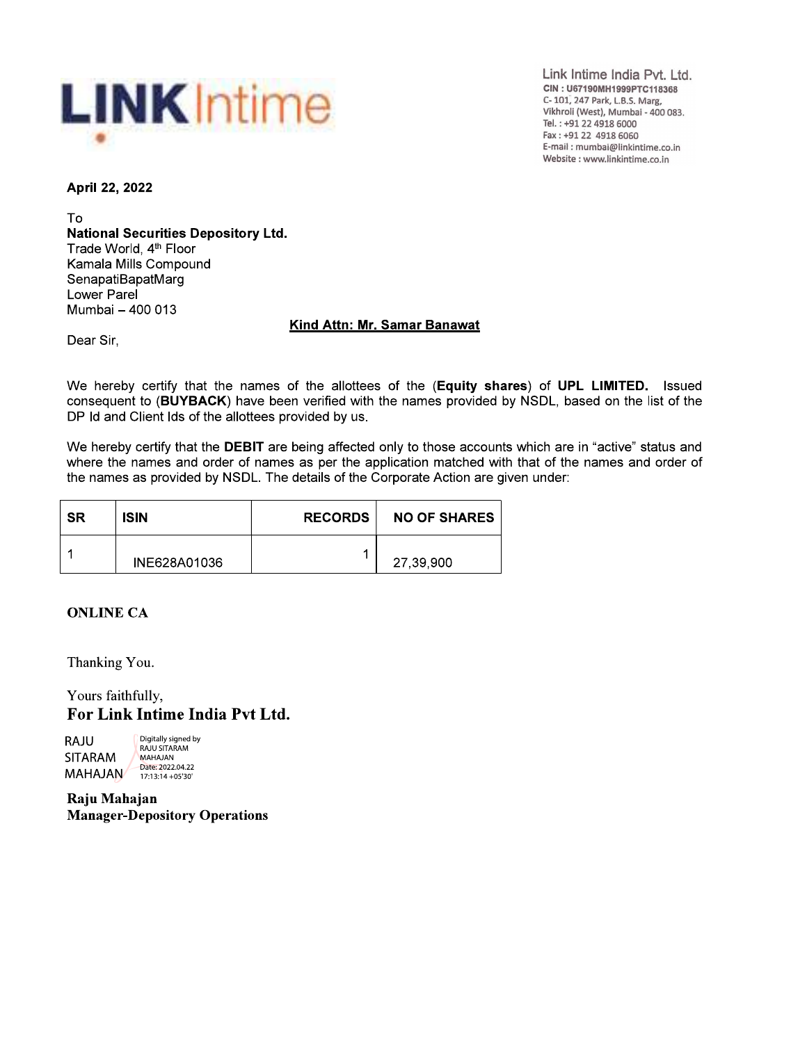

Link Intime India Pvt. Ltd. CIN: U67190MH1999PTC118368 C-101, 247 Park, L.B.S. Marg, Vikhroli (West), Mumbai - 400 083. Tel.: +91 22 4918 6000 Fax: +91 22 4918 6060 E-mail: mumbai@linkintime.co.in Website : www.linkintime.co.in

April 22, 2022

To **National Securities Depository Ltd.** Trade World, 4<sup>th</sup> Floor Kamala Mills Compound SenapatiBapatMarg Lower Parel Mumbai - 400 013

## **Kind Attn: Mr. Samar Banawat**

Dear Sir.

We hereby certify that the names of the allottees of the (Equity shares) of UPL LIMITED. Issued consequent to (BUYBACK) have been verified with the names provided by NSDL, based on the list of the DP Id and Client Ids of the allottees provided by us.

We hereby certify that the DEBIT are being affected only to those accounts which are in "active" status and where the names and order of names as per the application matched with that of the names and order of the names as provided by NSDL. The details of the Corporate Action are given under:

| <b>SR</b> | <b>ISIN</b>  | <b>RECORDS</b> | <b>NO OF SHARES</b> |
|-----------|--------------|----------------|---------------------|
|           | INE628A01036 |                | 27,39,900           |

## **ONLINE CA**

Thanking You.

Yours faithfully, For Link Intime India Pvt Ltd.

Digitally signed by RAJU RAJU SITARAM **SITARAM** MAHAJAN Date: 2022.04.22 **MAHAJAN** 17:13:14 + 05'30'

Raju Mahajan **Manager-Depository Operations**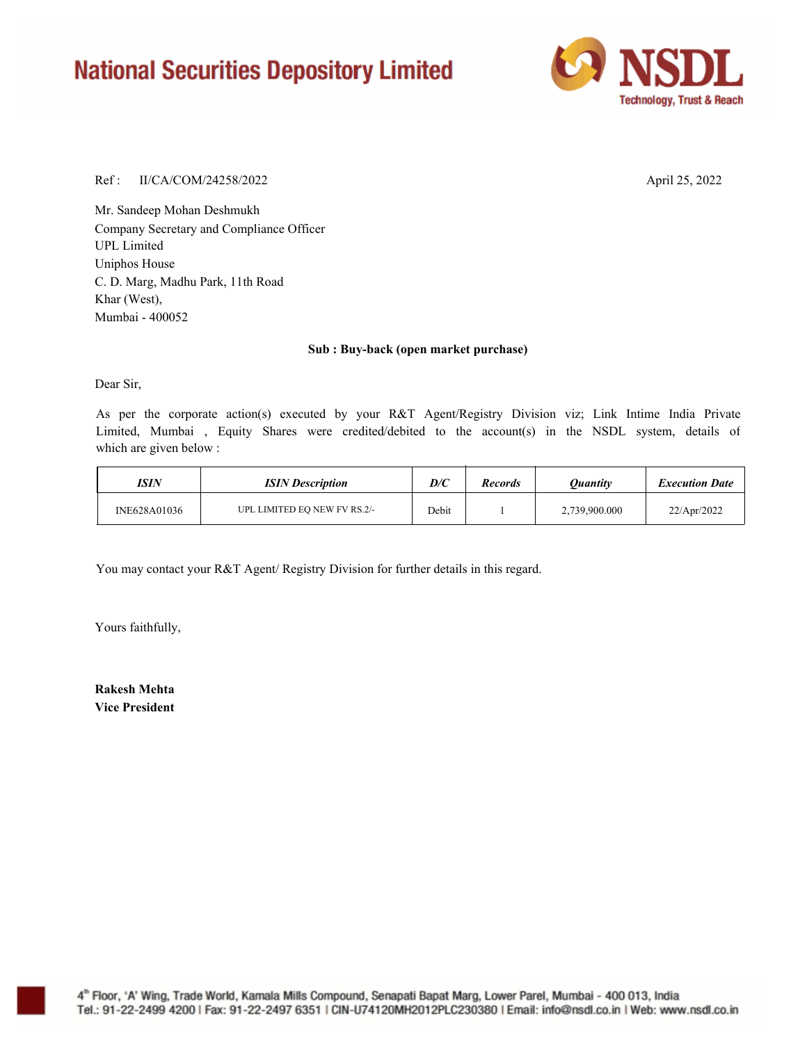# **National Securities Depository Limited**



#### Ref : April 25, 2022 II/CA/COM/24258/2022

Mr. Sandeep Mohan Deshmukh Company Secretary and Compliance Officer Uniphos House C. D. Marg, Madhu Park, 11th Road Khar (West), UPL Limited Mumbai - 400052

#### **Sub : Buy-back (open market purchase)**

Dear Sir,

As per the corporate action(s) executed by your R&T Agent/Registry Division viz; Link Intime India Private Limited, Mumbai , Equity Shares were credited/debited to the account(s) in the NSDL system, details of which are given below :

| ISIN         | <b>ISIN</b> Description      | D/C   | <b>Records</b> | Ouantitv      | <b>Execution Date</b> |
|--------------|------------------------------|-------|----------------|---------------|-----------------------|
| INE628A01036 | UPL LIMITED EQ NEW FV RS.2/- | Debit |                | 2,739,900.000 | 22/Apr/2022           |

You may contact your R&T Agent/ Registry Division for further details in this regard.

Yours faithfully,

**Rakesh Mehta Vice President**